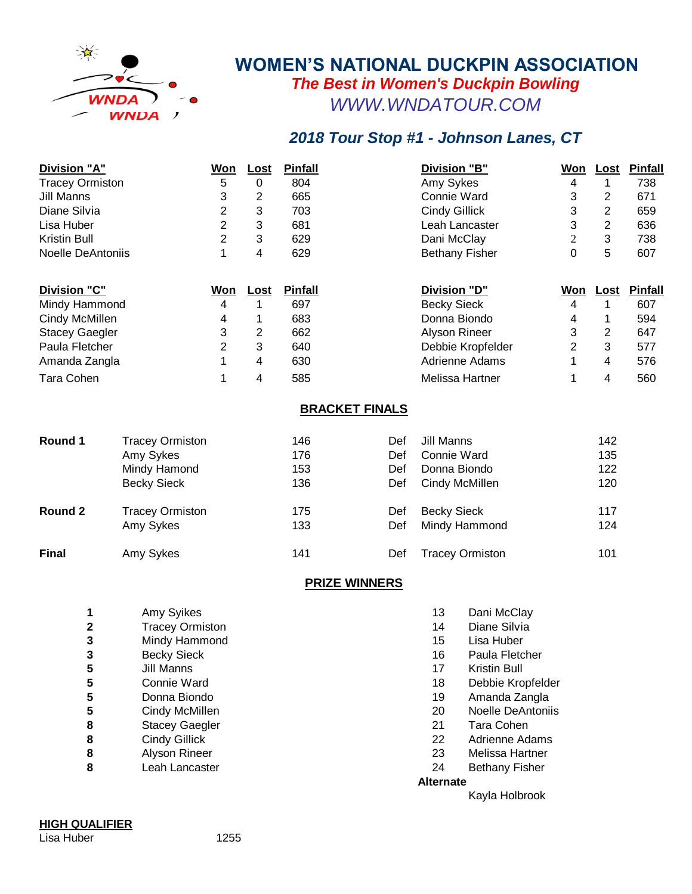

## **WOMEN'S NATIONAL DUCKPIN ASSOCIATION** *The Best in Women's Duckpin Bowling [W](http://www.wndatour.com/#)WW.WNDATOUR.COM*

## *2018 Tour Stop #1 - Johnson Lanes, CT*

| Division "A"             |                        | <u>Won</u>     | <u>Lost</u> | <b>Pinfall</b>               |                       | <b>Division "B"</b>   | <u>Won</u> | <u>Lost</u>             | Pinfall        |
|--------------------------|------------------------|----------------|-------------|------------------------------|-----------------------|-----------------------|------------|-------------------------|----------------|
| <b>Tracey Ormiston</b>   |                        | 5              | $\Omega$    | 804                          |                       | Amy Sykes             | 4          |                         | 738            |
| Jill Manns               |                        | 3              | 2           | 665                          |                       | Connie Ward           | 3          | 2                       | 671            |
| Diane Silvia             |                        | 2              | 3           | 703                          |                       | <b>Cindy Gillick</b>  | 3          | 2                       | 659            |
| Lisa Huber               |                        | 2              | 3           | 681                          |                       | Leah Lancaster        | 3          | 2                       | 636            |
| Kristin Bull             |                        | $\overline{2}$ | 3           | 629                          |                       | Dani McClay           | 2          | 3                       | 738            |
| <b>Noelle DeAntoniis</b> |                        | $\mathbf{1}$   | 4           | 629<br><b>Bethany Fisher</b> |                       | $\mathbf 0$           | 5          | 607                     |                |
| Division "C"             |                        | <u>Won</u>     | <u>Lost</u> | <b>Pinfall</b>               |                       | <b>Division "D"</b>   | <u>Won</u> | <u>Lost</u>             | <b>Pinfall</b> |
| Mindy Hammond            |                        | 4              |             | 697                          |                       | <b>Becky Sieck</b>    | 4          |                         | 607            |
| Cindy McMillen           |                        | 4              |             | 683<br>Donna Biondo          |                       | 4                     |            | 594                     |                |
| <b>Stacey Gaegler</b>    |                        | 3              | 2           | 662                          |                       | Alyson Rineer         | 3          | 2                       | 647            |
| Paula Fletcher           |                        | 2              | 3           | 640                          |                       | Debbie Kropfelder     | 2          | 3                       | 577            |
| Amanda Zangla            |                        |                | 4           | 630                          |                       | <b>Adrienne Adams</b> |            | 4                       | 576            |
| Tara Cohen               |                        | 1              | 4           | 585                          |                       | Melissa Hartner       | 1          | $\overline{\mathbf{4}}$ | 560            |
|                          |                        |                |             |                              | <b>BRACKET FINALS</b> |                       |            |                         |                |
| Round 1                  | <b>Tracey Ormiston</b> |                |             | 146                          | Def                   | Jill Manns            |            | 142                     |                |
|                          | Amy Sykes              |                |             | 176                          | Def                   | Connie Ward           |            | 135                     |                |

|              | Mindy Hamond           | 153 | Def | Donna Biondo           | 122 |
|--------------|------------------------|-----|-----|------------------------|-----|
|              | <b>Becky Sieck</b>     | 136 | Def | Cindy McMillen         | 120 |
| Round 2      | <b>Tracey Ormiston</b> | 175 | Def | <b>Becky Sieck</b>     | 117 |
|              | Amy Sykes              | 133 | Def | Mindy Hammond          | 124 |
| <b>Final</b> | Amy Sykes              | 141 | Def | <b>Tracey Ormiston</b> | 101 |

## **PRIZE WINNERS**

| 1 | Amy Syikes             | 13               | Dani McClay              |
|---|------------------------|------------------|--------------------------|
| 2 | <b>Tracey Ormiston</b> | 14               | Diane Silvia             |
| 3 | Mindy Hammond          | 15               | Lisa Huber               |
| 3 | <b>Becky Sieck</b>     | 16               | Paula Fletcher           |
| 5 | Jill Manns             | 17               | Kristin Bull             |
| 5 | Connie Ward            | 18               | Debbie Kropfelder        |
| 5 | Donna Biondo           | 19               | Amanda Zangla            |
| 5 | Cindy McMillen         | 20               | <b>Noelle DeAntoniis</b> |
| 8 | <b>Stacey Gaegler</b>  | 21               | Tara Cohen               |
| 8 | Cindy Gillick          | 22               | Adrienne Adams           |
| 8 | Alyson Rineer          | 23               | Melissa Hartner          |
| 8 | Leah Lancaster         | 24               | <b>Bethany Fisher</b>    |
|   |                        | <b>Alternate</b> |                          |
|   |                        |                  | Kayla Holbrook           |